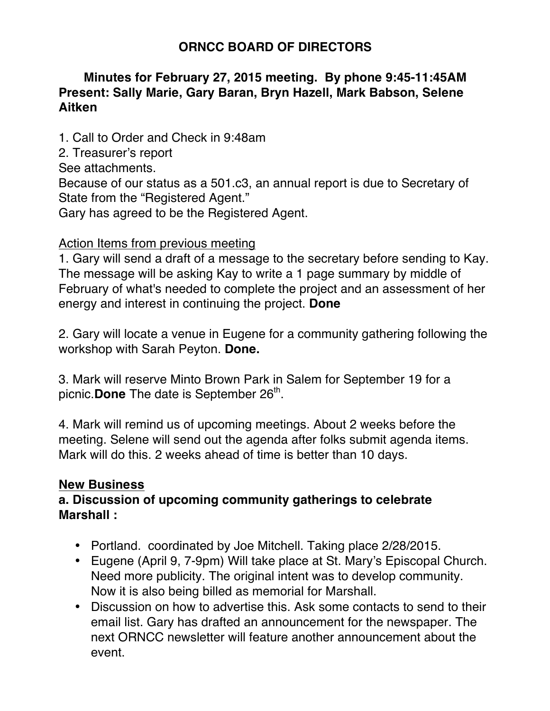# **ORNCC BOARD OF DIRECTORS**

## **Minutes for February 27, 2015 meeting. By phone 9:45-11:45AM Present: Sally Marie, Gary Baran, Bryn Hazell, Mark Babson, Selene Aitken**

1. Call to Order and Check in 9:48am

2. Treasurer's report

See attachments.

Because of our status as a 501.c3, an annual report is due to Secretary of State from the "Registered Agent."

Gary has agreed to be the Registered Agent.

#### Action Items from previous meeting

1. Gary will send a draft of a message to the secretary before sending to Kay. The message will be asking Kay to write a 1 page summary by middle of February of what's needed to complete the project and an assessment of her energy and interest in continuing the project. **Done**

2. Gary will locate a venue in Eugene for a community gathering following the workshop with Sarah Peyton. **Done.**

3. Mark will reserve Minto Brown Park in Salem for September 19 for a picnic. **Done** The date is September 26<sup>th</sup>.

4. Mark will remind us of upcoming meetings. About 2 weeks before the meeting. Selene will send out the agenda after folks submit agenda items. Mark will do this. 2 weeks ahead of time is better than 10 days.

# **New Business**

# **a. Discussion of upcoming community gatherings to celebrate Marshall :**

- Portland. coordinated by Joe Mitchell. Taking place 2/28/2015.
- Eugene (April 9, 7-9pm) Will take place at St. Mary's Episcopal Church. Need more publicity. The original intent was to develop community. Now it is also being billed as memorial for Marshall.
- Discussion on how to advertise this. Ask some contacts to send to their email list. Gary has drafted an announcement for the newspaper. The next ORNCC newsletter will feature another announcement about the event.